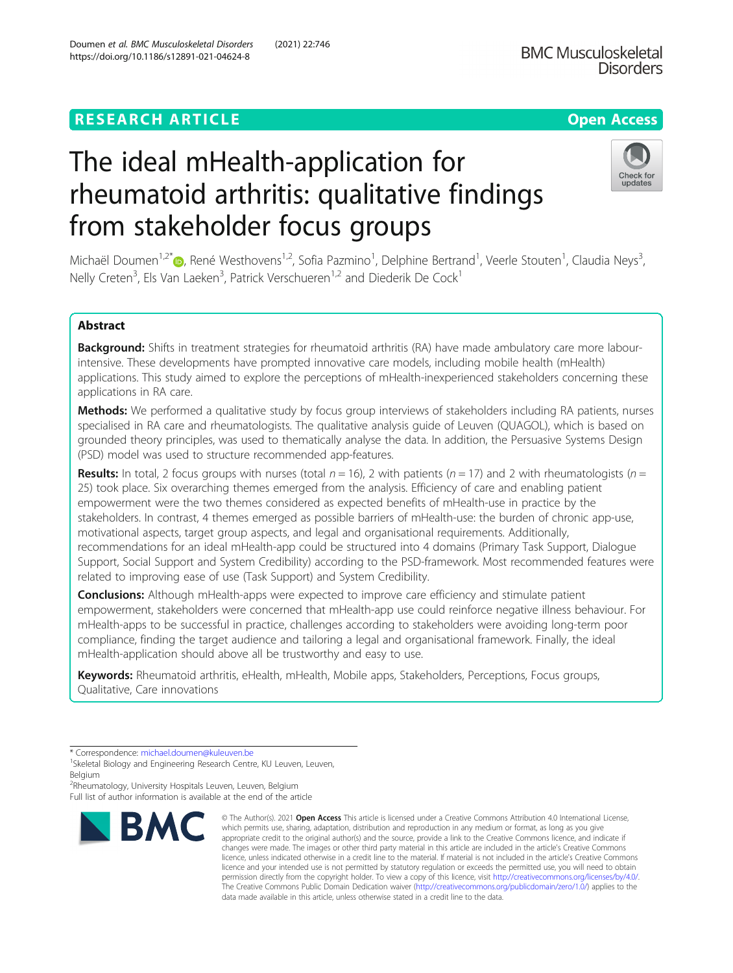Doumen et al. BMC Musculoskeletal Disorders (2021) 22:746

## Check for updates

# The ideal mHealth-application for rheumatoid arthritis: qualitative findings from stakeholder focus groups

Michaël Doumen<sup>1,2\*</sup>®, René Westhovens<sup>1,2</sup>, Sofia Pazmino<sup>1</sup>, Delphine Bertrand<sup>1</sup>, Veerle Stouten<sup>1</sup>, Claudia Neys<sup>3</sup> , Nelly Creten<sup>3</sup>, Els Van Laeken<sup>3</sup>, Patrick Verschueren<sup>1,2</sup> and Diederik De Cock<sup>1</sup>

### Abstract

Background: Shifts in treatment strategies for rheumatoid arthritis (RA) have made ambulatory care more labourintensive. These developments have prompted innovative care models, including mobile health (mHealth) applications. This study aimed to explore the perceptions of mHealth-inexperienced stakeholders concerning these applications in RA care.

Methods: We performed a qualitative study by focus group interviews of stakeholders including RA patients, nurses specialised in RA care and rheumatologists. The qualitative analysis guide of Leuven (QUAGOL), which is based on grounded theory principles, was used to thematically analyse the data. In addition, the Persuasive Systems Design (PSD) model was used to structure recommended app-features.

**Results:** In total, 2 focus groups with nurses (total  $n = 16$ ), 2 with patients ( $n = 17$ ) and 2 with rheumatologists ( $n =$ 25) took place. Six overarching themes emerged from the analysis. Efficiency of care and enabling patient empowerment were the two themes considered as expected benefits of mHealth-use in practice by the stakeholders. In contrast, 4 themes emerged as possible barriers of mHealth-use: the burden of chronic app-use, motivational aspects, target group aspects, and legal and organisational requirements. Additionally, recommendations for an ideal mHealth-app could be structured into 4 domains (Primary Task Support, Dialogue Support, Social Support and System Credibility) according to the PSD-framework. Most recommended features were related to improving ease of use (Task Support) and System Credibility.

**Conclusions:** Although mHealth-apps were expected to improve care efficiency and stimulate patient empowerment, stakeholders were concerned that mHealth-app use could reinforce negative illness behaviour. For mHealth-apps to be successful in practice, challenges according to stakeholders were avoiding long-term poor compliance, finding the target audience and tailoring a legal and organisational framework. Finally, the ideal mHealth-application should above all be trustworthy and easy to use.

Keywords: Rheumatoid arthritis, eHealth, mHealth, Mobile apps, Stakeholders, Perceptions, Focus groups, Qualitative, Care innovations

2 Rheumatology, University Hospitals Leuven, Leuven, Belgium Full list of author information is available at the end of the article



<sup>©</sup> The Author(s), 2021 **Open Access** This article is licensed under a Creative Commons Attribution 4.0 International License, which permits use, sharing, adaptation, distribution and reproduction in any medium or format, as long as you give appropriate credit to the original author(s) and the source, provide a link to the Creative Commons licence, and indicate if changes were made. The images or other third party material in this article are included in the article's Creative Commons licence, unless indicated otherwise in a credit line to the material. If material is not included in the article's Creative Commons licence and your intended use is not permitted by statutory regulation or exceeds the permitted use, you will need to obtain permission directly from the copyright holder. To view a copy of this licence, visit [http://creativecommons.org/licenses/by/4.0/.](http://creativecommons.org/licenses/by/4.0/) The Creative Commons Public Domain Dedication waiver [\(http://creativecommons.org/publicdomain/zero/1.0/](http://creativecommons.org/publicdomain/zero/1.0/)) applies to the data made available in this article, unless otherwise stated in a credit line to the data.

<sup>\*</sup> Correspondence: [michael.doumen@kuleuven.be](mailto:michael.doumen@kuleuven.be)<br><sup>1</sup>Skeletal Biology and Engineering Research Centre, KU Leuven, Leuven, Belgium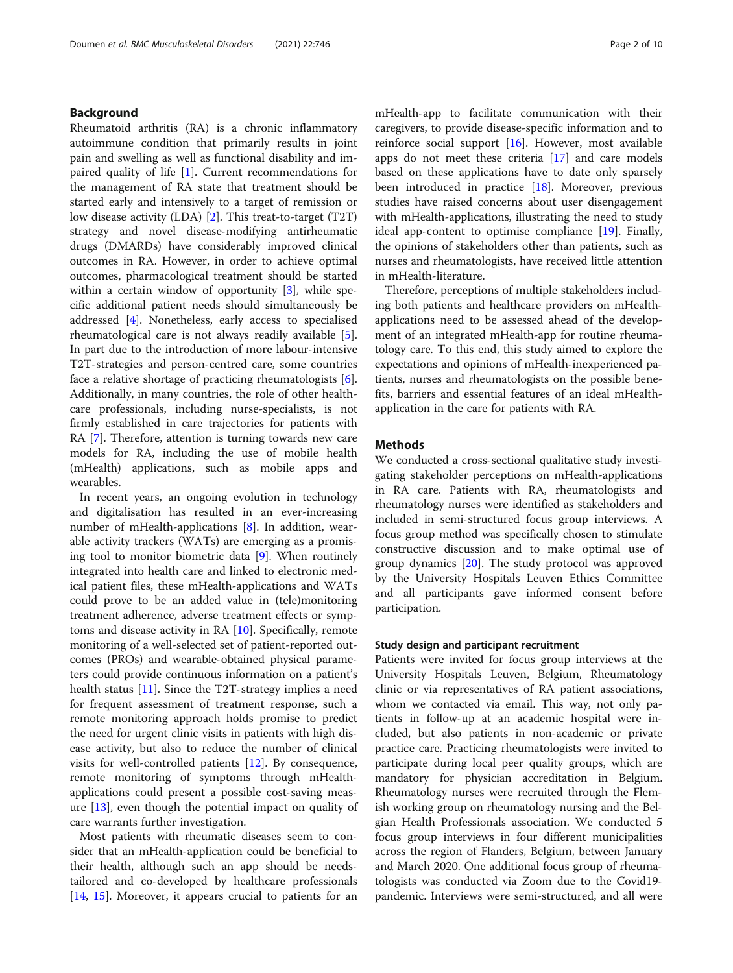#### Background

Rheumatoid arthritis (RA) is a chronic inflammatory autoimmune condition that primarily results in joint pain and swelling as well as functional disability and impaired quality of life [\[1](#page-8-0)]. Current recommendations for the management of RA state that treatment should be started early and intensively to a target of remission or low disease activity (LDA) [[2\]](#page-8-0). This treat-to-target (T2T) strategy and novel disease-modifying antirheumatic drugs (DMARDs) have considerably improved clinical outcomes in RA. However, in order to achieve optimal outcomes, pharmacological treatment should be started within a certain window of opportunity [[3\]](#page-8-0), while specific additional patient needs should simultaneously be addressed [\[4](#page-8-0)]. Nonetheless, early access to specialised rheumatological care is not always readily available [\[5](#page-8-0)]. In part due to the introduction of more labour-intensive T2T-strategies and person-centred care, some countries face a relative shortage of practicing rheumatologists [\[6](#page-8-0)]. Additionally, in many countries, the role of other healthcare professionals, including nurse-specialists, is not firmly established in care trajectories for patients with RA [\[7\]](#page-8-0). Therefore, attention is turning towards new care models for RA, including the use of mobile health (mHealth) applications, such as mobile apps and wearables.

In recent years, an ongoing evolution in technology and digitalisation has resulted in an ever-increasing number of mHealth-applications [\[8](#page-8-0)]. In addition, wearable activity trackers (WATs) are emerging as a promising tool to monitor biometric data [[9](#page-8-0)]. When routinely integrated into health care and linked to electronic medical patient files, these mHealth-applications and WATs could prove to be an added value in (tele)monitoring treatment adherence, adverse treatment effects or symptoms and disease activity in RA [[10\]](#page-8-0). Specifically, remote monitoring of a well-selected set of patient-reported outcomes (PROs) and wearable-obtained physical parameters could provide continuous information on a patient's health status [\[11\]](#page-8-0). Since the T2T-strategy implies a need for frequent assessment of treatment response, such a remote monitoring approach holds promise to predict the need for urgent clinic visits in patients with high disease activity, but also to reduce the number of clinical visits for well-controlled patients [\[12](#page-8-0)]. By consequence, remote monitoring of symptoms through mHealthapplications could present a possible cost-saving measure [[13\]](#page-8-0), even though the potential impact on quality of care warrants further investigation.

Most patients with rheumatic diseases seem to consider that an mHealth-application could be beneficial to their health, although such an app should be needstailored and co-developed by healthcare professionals [[14,](#page-8-0) [15\]](#page-8-0). Moreover, it appears crucial to patients for an mHealth-app to facilitate communication with their caregivers, to provide disease-specific information and to reinforce social support [\[16](#page-8-0)]. However, most available apps do not meet these criteria [[17\]](#page-8-0) and care models based on these applications have to date only sparsely been introduced in practice [\[18\]](#page-8-0). Moreover, previous studies have raised concerns about user disengagement with mHealth-applications, illustrating the need to study ideal app-content to optimise compliance [[19](#page-8-0)]. Finally, the opinions of stakeholders other than patients, such as nurses and rheumatologists, have received little attention in mHealth-literature.

Therefore, perceptions of multiple stakeholders including both patients and healthcare providers on mHealthapplications need to be assessed ahead of the development of an integrated mHealth-app for routine rheumatology care. To this end, this study aimed to explore the expectations and opinions of mHealth-inexperienced patients, nurses and rheumatologists on the possible benefits, barriers and essential features of an ideal mHealthapplication in the care for patients with RA.

#### **Methods**

We conducted a cross-sectional qualitative study investigating stakeholder perceptions on mHealth-applications in RA care. Patients with RA, rheumatologists and rheumatology nurses were identified as stakeholders and included in semi-structured focus group interviews. A focus group method was specifically chosen to stimulate constructive discussion and to make optimal use of group dynamics [\[20](#page-8-0)]. The study protocol was approved by the University Hospitals Leuven Ethics Committee and all participants gave informed consent before participation.

#### Study design and participant recruitment

Patients were invited for focus group interviews at the University Hospitals Leuven, Belgium, Rheumatology clinic or via representatives of RA patient associations, whom we contacted via email. This way, not only patients in follow-up at an academic hospital were included, but also patients in non-academic or private practice care. Practicing rheumatologists were invited to participate during local peer quality groups, which are mandatory for physician accreditation in Belgium. Rheumatology nurses were recruited through the Flemish working group on rheumatology nursing and the Belgian Health Professionals association. We conducted 5 focus group interviews in four different municipalities across the region of Flanders, Belgium, between January and March 2020. One additional focus group of rheumatologists was conducted via Zoom due to the Covid19 pandemic. Interviews were semi-structured, and all were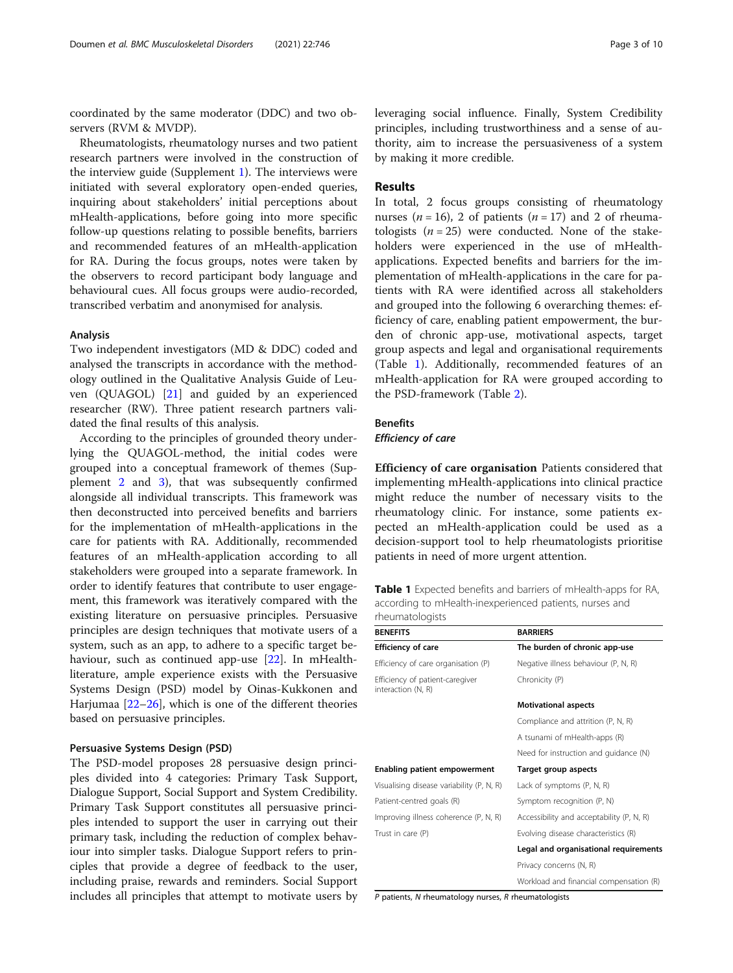coordinated by the same moderator (DDC) and two observers (RVM & MVDP).

Rheumatologists, rheumatology nurses and two patient research partners were involved in the construction of the interview guide (Supplement [1\)](#page-7-0). The interviews were initiated with several exploratory open-ended queries, inquiring about stakeholders' initial perceptions about mHealth-applications, before going into more specific follow-up questions relating to possible benefits, barriers and recommended features of an mHealth-application for RA. During the focus groups, notes were taken by the observers to record participant body language and behavioural cues. All focus groups were audio-recorded, transcribed verbatim and anonymised for analysis.

#### Analysis

Two independent investigators (MD & DDC) coded and analysed the transcripts in accordance with the methodology outlined in the Qualitative Analysis Guide of Leuven (QUAGOL) [\[21](#page-8-0)] and guided by an experienced researcher (RW). Three patient research partners validated the final results of this analysis.

According to the principles of grounded theory underlying the QUAGOL-method, the initial codes were grouped into a conceptual framework of themes (Supplement [2](#page-7-0) and [3\)](#page-7-0), that was subsequently confirmed alongside all individual transcripts. This framework was then deconstructed into perceived benefits and barriers for the implementation of mHealth-applications in the care for patients with RA. Additionally, recommended features of an mHealth-application according to all stakeholders were grouped into a separate framework. In order to identify features that contribute to user engagement, this framework was iteratively compared with the existing literature on persuasive principles. Persuasive principles are design techniques that motivate users of a system, such as an app, to adhere to a specific target behaviour, such as continued app-use [[22](#page-8-0)]. In mHealthliterature, ample experience exists with the Persuasive Systems Design (PSD) model by Oinas-Kukkonen and Harjumaa  $[22-26]$  $[22-26]$  $[22-26]$  $[22-26]$ , which is one of the different theories based on persuasive principles.

#### Persuasive Systems Design (PSD)

The PSD-model proposes 28 persuasive design principles divided into 4 categories: Primary Task Support, Dialogue Support, Social Support and System Credibility. Primary Task Support constitutes all persuasive principles intended to support the user in carrying out their primary task, including the reduction of complex behaviour into simpler tasks. Dialogue Support refers to principles that provide a degree of feedback to the user, including praise, rewards and reminders. Social Support includes all principles that attempt to motivate users by leveraging social influence. Finally, System Credibility principles, including trustworthiness and a sense of authority, aim to increase the persuasiveness of a system by making it more credible.

#### Results

In total, 2 focus groups consisting of rheumatology nurses ( $n = 16$ ), 2 of patients ( $n = 17$ ) and 2 of rheumatologists  $(n = 25)$  were conducted. None of the stakeholders were experienced in the use of mHealthapplications. Expected benefits and barriers for the implementation of mHealth-applications in the care for patients with RA were identified across all stakeholders and grouped into the following 6 overarching themes: efficiency of care, enabling patient empowerment, the burden of chronic app-use, motivational aspects, target group aspects and legal and organisational requirements (Table 1). Additionally, recommended features of an mHealth-application for RA were grouped according to the PSD-framework (Table [2\)](#page-3-0).

#### **Benefits**

Efficiency of care

Efficiency of care organisation Patients considered that implementing mHealth-applications into clinical practice might reduce the number of necessary visits to the rheumatology clinic. For instance, some patients expected an mHealth-application could be used as a decision-support tool to help rheumatologists prioritise patients in need of more urgent attention.

Table 1 Expected benefits and barriers of mHealth-apps for RA, according to mHealth-inexperienced patients, nurses and rheumatologists

| <b>BENEFITS</b>                                       | <b>BARRIERS</b>                           |  |
|-------------------------------------------------------|-------------------------------------------|--|
| <b>Efficiency of care</b>                             | The burden of chronic app-use             |  |
| Efficiency of care organisation (P)                   | Negative illness behaviour (P, N, R)      |  |
| Efficiency of patient-caregiver<br>interaction (N, R) | Chronicity (P)                            |  |
|                                                       | <b>Motivational aspects</b>               |  |
|                                                       | Compliance and attrition (P, N, R)        |  |
|                                                       | A tsunami of mHealth-apps (R)             |  |
|                                                       | Need for instruction and guidance (N)     |  |
| <b>Enabling patient empowerment</b>                   | Target group aspects                      |  |
| Visualising disease variability (P, N, R)             | Lack of symptoms (P, N, R)                |  |
| Patient-centred goals (R)                             | Symptom recognition (P, N)                |  |
| Improving illness coherence (P, N, R)                 | Accessibility and acceptability (P, N, R) |  |
| Trust in care (P)                                     | Evolving disease characteristics (R)      |  |
|                                                       | Legal and organisational requirements     |  |
|                                                       | Privacy concerns (N, R)                   |  |
|                                                       | Workload and financial compensation (R)   |  |

P patients, N rheumatology nurses, R rheumatologists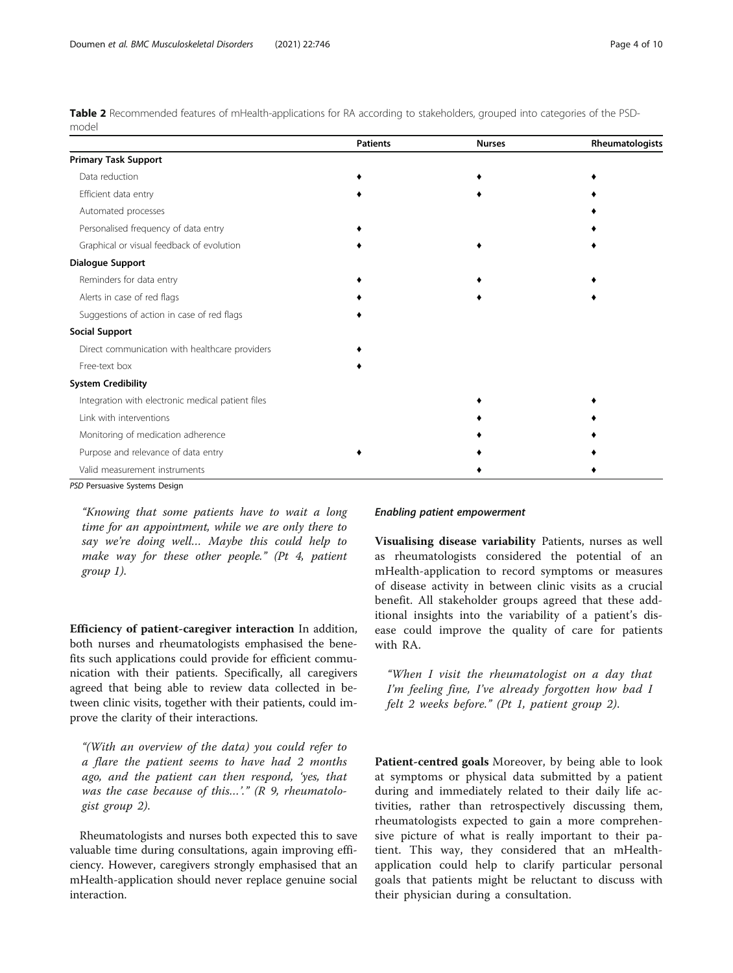<span id="page-3-0"></span>Table 2 Recommended features of mHealth-applications for RA according to stakeholders, grouped into categories of the PSDmodel

|                                                   | <b>Patients</b> | <b>Nurses</b> | Rheumatologists |
|---------------------------------------------------|-----------------|---------------|-----------------|
| <b>Primary Task Support</b>                       |                 |               |                 |
| Data reduction                                    |                 |               |                 |
| Efficient data entry                              |                 |               |                 |
| Automated processes                               |                 |               |                 |
| Personalised frequency of data entry              |                 |               |                 |
| Graphical or visual feedback of evolution         |                 |               |                 |
| <b>Dialogue Support</b>                           |                 |               |                 |
| Reminders for data entry                          |                 |               |                 |
| Alerts in case of red flags                       |                 |               |                 |
| Suggestions of action in case of red flags        |                 |               |                 |
| <b>Social Support</b>                             |                 |               |                 |
| Direct communication with healthcare providers    |                 |               |                 |
| Free-text box                                     |                 |               |                 |
| <b>System Credibility</b>                         |                 |               |                 |
| Integration with electronic medical patient files |                 |               |                 |
| Link with interventions                           |                 |               |                 |
| Monitoring of medication adherence                |                 |               |                 |
| Purpose and relevance of data entry               |                 |               |                 |
| Valid measurement instruments                     |                 |               |                 |

PSD Persuasive Systems Design

"Knowing that some patients have to wait a long time for an appointment, while we are only there to say we're doing well… Maybe this could help to make way for these other people." (Pt 4, patient group 1).

Efficiency of patient-caregiver interaction In addition, both nurses and rheumatologists emphasised the benefits such applications could provide for efficient communication with their patients. Specifically, all caregivers agreed that being able to review data collected in between clinic visits, together with their patients, could improve the clarity of their interactions.

"(With an overview of the data) you could refer to a flare the patient seems to have had 2 months ago, and the patient can then respond, 'yes, that was the case because of this...'." ( $R$  9, rheumatologist group 2).

Rheumatologists and nurses both expected this to save valuable time during consultations, again improving efficiency. However, caregivers strongly emphasised that an mHealth-application should never replace genuine social interaction.

#### Enabling patient empowerment

Visualising disease variability Patients, nurses as well as rheumatologists considered the potential of an mHealth-application to record symptoms or measures of disease activity in between clinic visits as a crucial benefit. All stakeholder groups agreed that these additional insights into the variability of a patient's disease could improve the quality of care for patients with RA.

"When I visit the rheumatologist on a day that I'm feeling fine, I've already forgotten how bad I felt 2 weeks before." (Pt 1, patient group 2).

Patient-centred goals Moreover, by being able to look at symptoms or physical data submitted by a patient during and immediately related to their daily life activities, rather than retrospectively discussing them, rheumatologists expected to gain a more comprehensive picture of what is really important to their patient. This way, they considered that an mHealthapplication could help to clarify particular personal goals that patients might be reluctant to discuss with their physician during a consultation.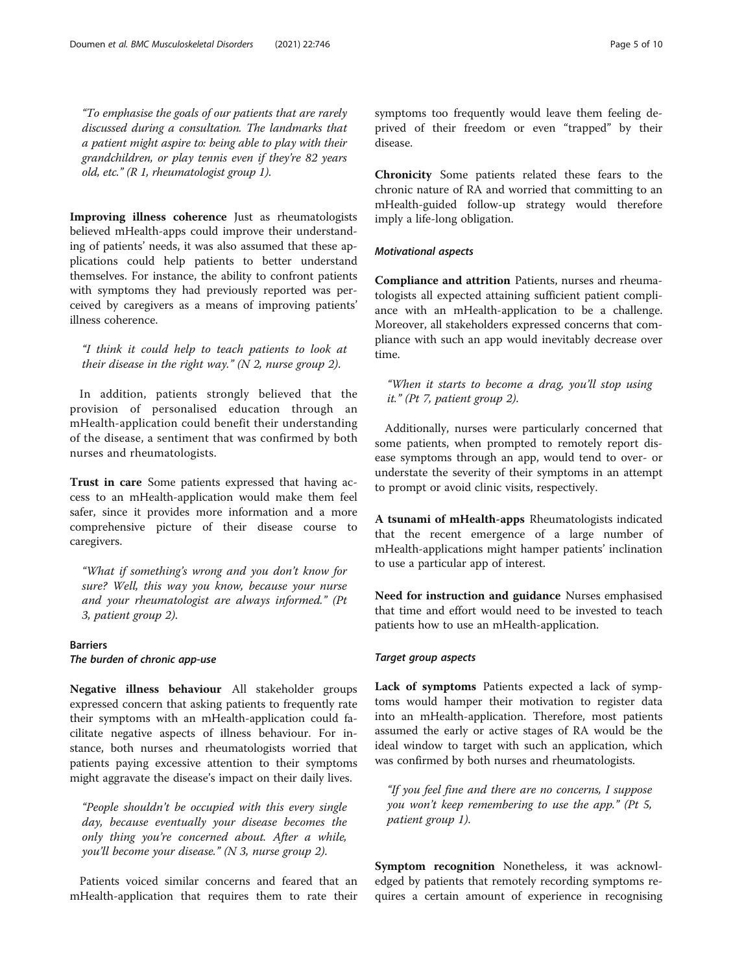"To emphasise the goals of our patients that are rarely discussed during a consultation. The landmarks that a patient might aspire to: being able to play with their grandchildren, or play tennis even if they're 82 years old, etc." (R 1, rheumatologist group 1).

Improving illness coherence Just as rheumatologists believed mHealth-apps could improve their understanding of patients' needs, it was also assumed that these applications could help patients to better understand themselves. For instance, the ability to confront patients with symptoms they had previously reported was perceived by caregivers as a means of improving patients' illness coherence.

"I think it could help to teach patients to look at their disease in the right way." (N 2, nurse group 2).

In addition, patients strongly believed that the provision of personalised education through an mHealth-application could benefit their understanding of the disease, a sentiment that was confirmed by both nurses and rheumatologists.

Trust in care Some patients expressed that having access to an mHealth-application would make them feel safer, since it provides more information and a more comprehensive picture of their disease course to caregivers.

"What if something's wrong and you don't know for sure? Well, this way you know, because your nurse and your rheumatologist are always informed." (Pt 3, patient group 2).

#### **Barriers**

The burden of chronic app-use

Negative illness behaviour All stakeholder groups expressed concern that asking patients to frequently rate their symptoms with an mHealth-application could facilitate negative aspects of illness behaviour. For instance, both nurses and rheumatologists worried that patients paying excessive attention to their symptoms might aggravate the disease's impact on their daily lives.

"People shouldn't be occupied with this every single day, because eventually your disease becomes the only thing you're concerned about. After a while, you'll become your disease." (N 3, nurse group 2).

Patients voiced similar concerns and feared that an mHealth-application that requires them to rate their symptoms too frequently would leave them feeling deprived of their freedom or even "trapped" by their disease.

Chronicity Some patients related these fears to the chronic nature of RA and worried that committing to an mHealth-guided follow-up strategy would therefore imply a life-long obligation.

#### Motivational aspects

Compliance and attrition Patients, nurses and rheumatologists all expected attaining sufficient patient compliance with an mHealth-application to be a challenge. Moreover, all stakeholders expressed concerns that compliance with such an app would inevitably decrease over time.

"When it starts to become a drag, you'll stop using it." (Pt 7, patient group 2).

Additionally, nurses were particularly concerned that some patients, when prompted to remotely report disease symptoms through an app, would tend to over- or understate the severity of their symptoms in an attempt to prompt or avoid clinic visits, respectively.

A tsunami of mHealth-apps Rheumatologists indicated that the recent emergence of a large number of mHealth-applications might hamper patients' inclination to use a particular app of interest.

Need for instruction and guidance Nurses emphasised that time and effort would need to be invested to teach patients how to use an mHealth-application.

#### Target group aspects

Lack of symptoms Patients expected a lack of symptoms would hamper their motivation to register data into an mHealth-application. Therefore, most patients assumed the early or active stages of RA would be the ideal window to target with such an application, which was confirmed by both nurses and rheumatologists.

"If you feel fine and there are no concerns, I suppose you won't keep remembering to use the app." (Pt 5, patient group 1).

Symptom recognition Nonetheless, it was acknowledged by patients that remotely recording symptoms requires a certain amount of experience in recognising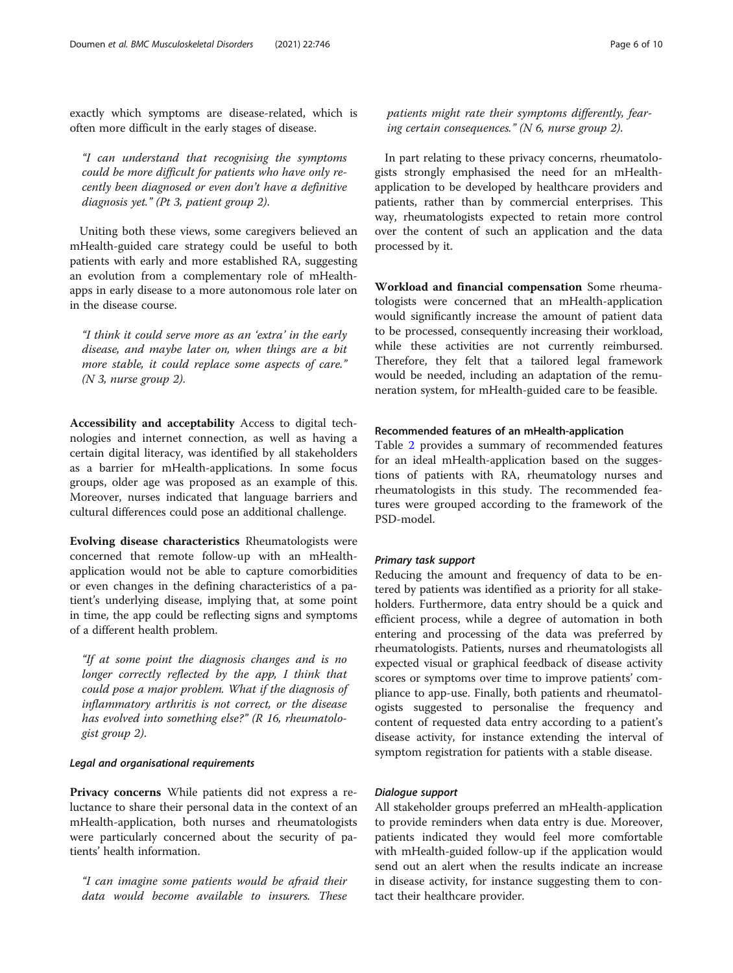exactly which symptoms are disease-related, which is often more difficult in the early stages of disease.

"I can understand that recognising the symptoms could be more difficult for patients who have only recently been diagnosed or even don't have a definitive diagnosis yet." (Pt 3, patient group 2).

Uniting both these views, some caregivers believed an mHealth-guided care strategy could be useful to both patients with early and more established RA, suggesting an evolution from a complementary role of mHealthapps in early disease to a more autonomous role later on in the disease course.

"I think it could serve more as an 'extra' in the early disease, and maybe later on, when things are a bit more stable, it could replace some aspects of care." (N 3, nurse group 2).

Accessibility and acceptability Access to digital technologies and internet connection, as well as having a certain digital literacy, was identified by all stakeholders as a barrier for mHealth-applications. In some focus groups, older age was proposed as an example of this. Moreover, nurses indicated that language barriers and cultural differences could pose an additional challenge.

Evolving disease characteristics Rheumatologists were concerned that remote follow-up with an mHealthapplication would not be able to capture comorbidities or even changes in the defining characteristics of a patient's underlying disease, implying that, at some point in time, the app could be reflecting signs and symptoms of a different health problem.

"If at some point the diagnosis changes and is no longer correctly reflected by the app, I think that could pose a major problem. What if the diagnosis of inflammatory arthritis is not correct, or the disease has evolved into something else?" (R 16, rheumatologist group 2).

#### Legal and organisational requirements

Privacy concerns While patients did not express a reluctance to share their personal data in the context of an mHealth-application, both nurses and rheumatologists were particularly concerned about the security of patients' health information.

"I can imagine some patients would be afraid their data would become available to insurers. These

patients might rate their symptoms differently, fearing certain consequences." (N 6, nurse group 2).

In part relating to these privacy concerns, rheumatologists strongly emphasised the need for an mHealthapplication to be developed by healthcare providers and patients, rather than by commercial enterprises. This way, rheumatologists expected to retain more control over the content of such an application and the data processed by it.

Workload and financial compensation Some rheumatologists were concerned that an mHealth-application would significantly increase the amount of patient data to be processed, consequently increasing their workload, while these activities are not currently reimbursed. Therefore, they felt that a tailored legal framework would be needed, including an adaptation of the remuneration system, for mHealth-guided care to be feasible.

#### Recommended features of an mHealth-application

Table [2](#page-3-0) provides a summary of recommended features for an ideal mHealth-application based on the suggestions of patients with RA, rheumatology nurses and rheumatologists in this study. The recommended features were grouped according to the framework of the PSD-model.

#### Primary task support

Reducing the amount and frequency of data to be entered by patients was identified as a priority for all stakeholders. Furthermore, data entry should be a quick and efficient process, while a degree of automation in both entering and processing of the data was preferred by rheumatologists. Patients, nurses and rheumatologists all expected visual or graphical feedback of disease activity scores or symptoms over time to improve patients' compliance to app-use. Finally, both patients and rheumatologists suggested to personalise the frequency and content of requested data entry according to a patient's disease activity, for instance extending the interval of symptom registration for patients with a stable disease.

#### Dialogue support

All stakeholder groups preferred an mHealth-application to provide reminders when data entry is due. Moreover, patients indicated they would feel more comfortable with mHealth-guided follow-up if the application would send out an alert when the results indicate an increase in disease activity, for instance suggesting them to contact their healthcare provider.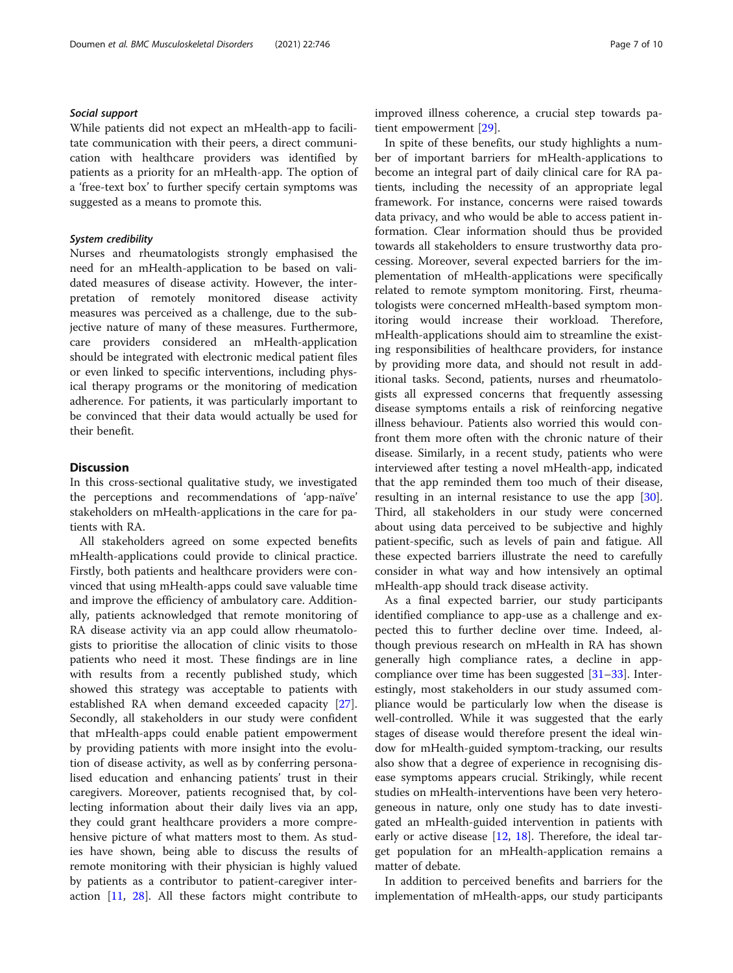#### Social support

While patients did not expect an mHealth-app to facilitate communication with their peers, a direct communication with healthcare providers was identified by patients as a priority for an mHealth-app. The option of a 'free-text box' to further specify certain symptoms was suggested as a means to promote this.

#### System credibility

Nurses and rheumatologists strongly emphasised the need for an mHealth-application to be based on validated measures of disease activity. However, the interpretation of remotely monitored disease activity measures was perceived as a challenge, due to the subjective nature of many of these measures. Furthermore, care providers considered an mHealth-application should be integrated with electronic medical patient files or even linked to specific interventions, including physical therapy programs or the monitoring of medication adherence. For patients, it was particularly important to be convinced that their data would actually be used for their benefit.

#### **Discussion**

In this cross-sectional qualitative study, we investigated the perceptions and recommendations of 'app-naïve' stakeholders on mHealth-applications in the care for patients with RA.

All stakeholders agreed on some expected benefits mHealth-applications could provide to clinical practice. Firstly, both patients and healthcare providers were convinced that using mHealth-apps could save valuable time and improve the efficiency of ambulatory care. Additionally, patients acknowledged that remote monitoring of RA disease activity via an app could allow rheumatologists to prioritise the allocation of clinic visits to those patients who need it most. These findings are in line with results from a recently published study, which showed this strategy was acceptable to patients with established RA when demand exceeded capacity [\[27](#page-8-0)]. Secondly, all stakeholders in our study were confident that mHealth-apps could enable patient empowerment by providing patients with more insight into the evolution of disease activity, as well as by conferring personalised education and enhancing patients' trust in their caregivers. Moreover, patients recognised that, by collecting information about their daily lives via an app, they could grant healthcare providers a more comprehensive picture of what matters most to them. As studies have shown, being able to discuss the results of remote monitoring with their physician is highly valued by patients as a contributor to patient-caregiver interaction [\[11](#page-8-0), [28\]](#page-8-0). All these factors might contribute to improved illness coherence, a crucial step towards patient empowerment [\[29](#page-9-0)].

In spite of these benefits, our study highlights a number of important barriers for mHealth-applications to become an integral part of daily clinical care for RA patients, including the necessity of an appropriate legal framework. For instance, concerns were raised towards data privacy, and who would be able to access patient information. Clear information should thus be provided towards all stakeholders to ensure trustworthy data processing. Moreover, several expected barriers for the implementation of mHealth-applications were specifically related to remote symptom monitoring. First, rheumatologists were concerned mHealth-based symptom monitoring would increase their workload. Therefore, mHealth-applications should aim to streamline the existing responsibilities of healthcare providers, for instance by providing more data, and should not result in additional tasks. Second, patients, nurses and rheumatologists all expressed concerns that frequently assessing disease symptoms entails a risk of reinforcing negative illness behaviour. Patients also worried this would confront them more often with the chronic nature of their disease. Similarly, in a recent study, patients who were interviewed after testing a novel mHealth-app, indicated that the app reminded them too much of their disease, resulting in an internal resistance to use the app [\[30](#page-9-0)]. Third, all stakeholders in our study were concerned about using data perceived to be subjective and highly patient-specific, such as levels of pain and fatigue. All these expected barriers illustrate the need to carefully consider in what way and how intensively an optimal mHealth-app should track disease activity.

As a final expected barrier, our study participants identified compliance to app-use as a challenge and expected this to further decline over time. Indeed, although previous research on mHealth in RA has shown generally high compliance rates, a decline in appcompliance over time has been suggested [\[31](#page-9-0)–[33\]](#page-9-0). Interestingly, most stakeholders in our study assumed compliance would be particularly low when the disease is well-controlled. While it was suggested that the early stages of disease would therefore present the ideal window for mHealth-guided symptom-tracking, our results also show that a degree of experience in recognising disease symptoms appears crucial. Strikingly, while recent studies on mHealth-interventions have been very heterogeneous in nature, only one study has to date investigated an mHealth-guided intervention in patients with early or active disease [\[12](#page-8-0), [18\]](#page-8-0). Therefore, the ideal target population for an mHealth-application remains a matter of debate.

In addition to perceived benefits and barriers for the implementation of mHealth-apps, our study participants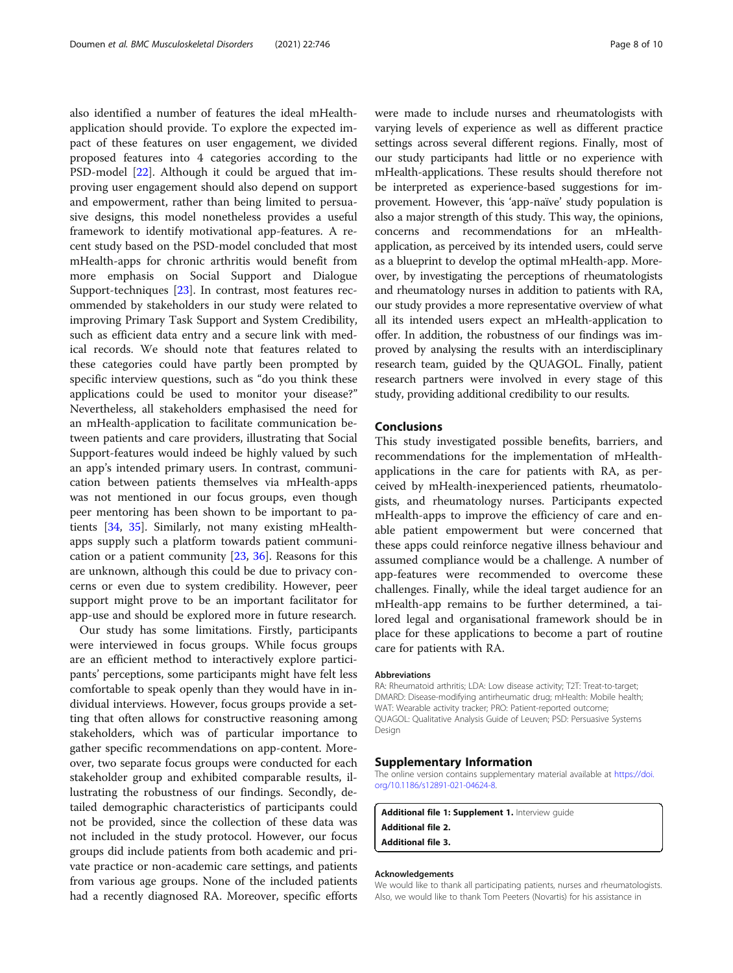<span id="page-7-0"></span>also identified a number of features the ideal mHealthapplication should provide. To explore the expected impact of these features on user engagement, we divided proposed features into 4 categories according to the PSD-model [[22\]](#page-8-0). Although it could be argued that improving user engagement should also depend on support and empowerment, rather than being limited to persuasive designs, this model nonetheless provides a useful framework to identify motivational app-features. A recent study based on the PSD-model concluded that most mHealth-apps for chronic arthritis would benefit from more emphasis on Social Support and Dialogue Support-techniques [[23\]](#page-8-0). In contrast, most features recommended by stakeholders in our study were related to improving Primary Task Support and System Credibility, such as efficient data entry and a secure link with medical records. We should note that features related to these categories could have partly been prompted by specific interview questions, such as "do you think these applications could be used to monitor your disease?" Nevertheless, all stakeholders emphasised the need for an mHealth-application to facilitate communication between patients and care providers, illustrating that Social Support-features would indeed be highly valued by such an app's intended primary users. In contrast, communication between patients themselves via mHealth-apps was not mentioned in our focus groups, even though peer mentoring has been shown to be important to patients [[34](#page-9-0), [35\]](#page-9-0). Similarly, not many existing mHealthapps supply such a platform towards patient communication or a patient community [\[23](#page-8-0), [36\]](#page-9-0). Reasons for this are unknown, although this could be due to privacy concerns or even due to system credibility. However, peer support might prove to be an important facilitator for app-use and should be explored more in future research.

Our study has some limitations. Firstly, participants were interviewed in focus groups. While focus groups are an efficient method to interactively explore participants' perceptions, some participants might have felt less comfortable to speak openly than they would have in individual interviews. However, focus groups provide a setting that often allows for constructive reasoning among stakeholders, which was of particular importance to gather specific recommendations on app-content. Moreover, two separate focus groups were conducted for each stakeholder group and exhibited comparable results, illustrating the robustness of our findings. Secondly, detailed demographic characteristics of participants could not be provided, since the collection of these data was not included in the study protocol. However, our focus groups did include patients from both academic and private practice or non-academic care settings, and patients from various age groups. None of the included patients had a recently diagnosed RA. Moreover, specific efforts were made to include nurses and rheumatologists with varying levels of experience as well as different practice settings across several different regions. Finally, most of our study participants had little or no experience with mHealth-applications. These results should therefore not be interpreted as experience-based suggestions for improvement. However, this 'app-naïve' study population is also a major strength of this study. This way, the opinions, concerns and recommendations for an mHealthapplication, as perceived by its intended users, could serve as a blueprint to develop the optimal mHealth-app. Moreover, by investigating the perceptions of rheumatologists and rheumatology nurses in addition to patients with RA, our study provides a more representative overview of what all its intended users expect an mHealth-application to offer. In addition, the robustness of our findings was improved by analysing the results with an interdisciplinary research team, guided by the QUAGOL. Finally, patient research partners were involved in every stage of this study, providing additional credibility to our results.

#### Conclusions

This study investigated possible benefits, barriers, and recommendations for the implementation of mHealthapplications in the care for patients with RA, as perceived by mHealth-inexperienced patients, rheumatologists, and rheumatology nurses. Participants expected mHealth-apps to improve the efficiency of care and enable patient empowerment but were concerned that these apps could reinforce negative illness behaviour and assumed compliance would be a challenge. A number of app-features were recommended to overcome these challenges. Finally, while the ideal target audience for an mHealth-app remains to be further determined, a tailored legal and organisational framework should be in place for these applications to become a part of routine care for patients with RA.

#### Abbreviations

RA: Rheumatoid arthritis; LDA: Low disease activity; T2T: Treat-to-target; DMARD: Disease-modifying antirheumatic drug; mHealth: Mobile health; WAT: Wearable activity tracker; PRO: Patient-reported outcome; QUAGOL: Qualitative Analysis Guide of Leuven; PSD: Persuasive Systems Design

#### Supplementary Information

The online version contains supplementary material available at [https://doi.](https://doi.org/10.1186/s12891-021-04624-8) [org/10.1186/s12891-021-04624-8.](https://doi.org/10.1186/s12891-021-04624-8)

Additional file 1: Supplement 1. Interview guide Additional file 2. Additional file 3.

#### Acknowledgements

We would like to thank all participating patients, nurses and rheumatologists. Also, we would like to thank Tom Peeters (Novartis) for his assistance in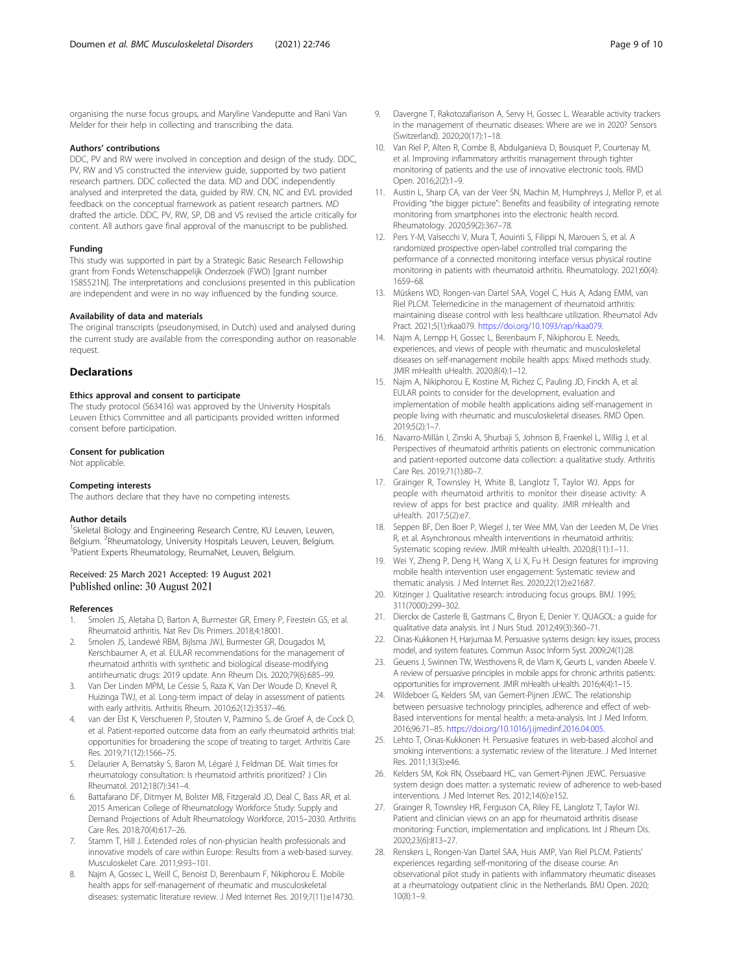<span id="page-8-0"></span>organising the nurse focus groups, and Maryline Vandeputte and Rani Van Melder for their help in collecting and transcribing the data.

#### Authors' contributions

DDC, PV and RW were involved in conception and design of the study. DDC, PV, RW and VS constructed the interview guide, supported by two patient research partners. DDC collected the data. MD and DDC independently analysed and interpreted the data, guided by RW. CN, NC and EVL provided feedback on the conceptual framework as patient research partners. MD drafted the article. DDC, PV, RW, SP, DB and VS revised the article critically for content. All authors gave final approval of the manuscript to be published.

#### Funding

This study was supported in part by a Strategic Basic Research Fellowship grant from Fonds Wetenschappelijk Onderzoek (FWO) [grant number 1S85521N]. The interpretations and conclusions presented in this publication are independent and were in no way influenced by the funding source.

#### Availability of data and materials

The original transcripts (pseudonymised, in Dutch) used and analysed during the current study are available from the corresponding author on reasonable request.

#### **Declarations**

#### Ethics approval and consent to participate

The study protocol (S63416) was approved by the University Hospitals Leuven Ethics Committee and all participants provided written informed consent before participation.

#### Consent for publication

Not applicable.

#### Competing interests

The authors declare that they have no competing interests.

#### Author details

<sup>1</sup>Skeletal Biology and Engineering Research Centre, KU Leuven, Leuven, Belgium. <sup>2</sup>Rheumatology, University Hospitals Leuven, Leuven, Belgium.<br><sup>3</sup>Patient Exports Phoumatology, PoumaNet Leuven, Belgium. <sup>3</sup>Patient Experts Rheumatology, ReumaNet, Leuven, Belgium.

#### Received: 25 March 2021 Accepted: 19 August 2021 Published online: 30 August 2021

#### References

- 1. Smolen JS, Aletaha D, Barton A, Burmester GR, Emery P, Firestein GS, et al. Rheumatoid arthritis. Nat Rev Dis Primers. 2018;4:18001.
- 2. Smolen JS, Landewé RBM, Bijlsma JWJ, Burmester GR, Dougados M, Kerschbaumer A, et al. EULAR recommendations for the management of rheumatoid arthritis with synthetic and biological disease-modifying antirheumatic drugs: 2019 update. Ann Rheum Dis. 2020;79(6):685–99.
- 3. Van Der Linden MPM, Le Cessie S, Raza K, Van Der Woude D, Knevel R, Huizinga TWJ, et al. Long-term impact of delay in assessment of patients with early arthritis. Arthritis Rheum. 2010;62(12):3537–46.
- 4. van der Elst K, Verschueren P, Stouten V, Pazmino S, de Groef A, de Cock D, et al. Patient-reported outcome data from an early rheumatoid arthritis trial: opportunities for broadening the scope of treating to target. Arthritis Care Res. 2019;71(12):1566–75.
- 5. Delaurier A, Bernatsky S, Baron M, Légaré J, Feldman DE. Wait times for rheumatology consultation: Is rheumatoid arthritis prioritized? J Clin Rheumatol. 2012;18(7):341–4.
- Battafarano DF, Ditmyer M, Bolster MB, Fitzgerald JD, Deal C, Bass AR, et al. 2015 American College of Rheumatology Workforce Study: Supply and Demand Projections of Adult Rheumatology Workforce, 2015–2030. Arthritis Care Res. 2018;70(4):617–26.
- 7. Stamm T, Hill J. Extended roles of non-physician health professionals and innovative models of care within Europe: Results from a web-based survey. Musculoskelet Care. 2011;9:93–101.
- Najm A, Gossec L, Weill C, Benoist D, Berenbaum F, Nikiphorou E. Mobile health apps for self-management of rheumatic and musculoskeletal diseases: systematic literature review. J Med Internet Res. 2019;7(11):e14730.
- 9. Davergne T, Rakotozafiarison A, Servy H, Gossec L. Wearable activity trackers in the management of rheumatic diseases: Where are we in 2020? Sensors (Switzerland). 2020;20(17):1–18.
- 10. Van Riel P, Alten R, Combe B, Abdulganieva D, Bousquet P, Courtenay M, et al. Improving inflammatory arthritis management through tighter monitoring of patients and the use of innovative electronic tools. RMD Open. 2016;2(2):1–9.
- 11. Austin L, Sharp CA, van der Veer SN, Machin M, Humphreys J, Mellor P, et al. Providing "the bigger picture": Benefits and feasibility of integrating remote monitoring from smartphones into the electronic health record. Rheumatology. 2020;59(2):367–78.
- 12. Pers Y-M, Valsecchi V, Mura T, Aouinti S, Filippi N, Marouen S, et al. A randomized prospective open-label controlled trial comparing the performance of a connected monitoring interface versus physical routine monitoring in patients with rheumatoid arthritis. Rheumatology. 2021;60(4): 1659–68.
- 13. Müskens WD, Rongen-van Dartel SAA, Vogel C, Huis A, Adang EMM, van Riel PLCM. Telemedicine in the management of rheumatoid arthritis: maintaining disease control with less healthcare utilization. Rheumatol Adv Pract. 2021;5(1):rkaa079. <https://doi.org/10.1093/rap/rkaa079>.
- 14. Najm A, Lempp H, Gossec L, Berenbaum F, Nikiphorou E. Needs, experiences, and views of people with rheumatic and musculoskeletal diseases on self-management mobile health apps: Mixed methods study. JMIR mHealth uHealth. 2020;8(4):1–12.
- 15. Najm A, Nikiphorou E, Kostine M, Richez C, Pauling JD, Finckh A, et al. EULAR points to consider for the development, evaluation and implementation of mobile health applications aiding self-management in people living with rheumatic and musculoskeletal diseases. RMD Open. 2019;5(2):1–7.
- 16. Navarro-Millán I, Zinski A, Shurbaji S, Johnson B, Fraenkel L, Willig J, et al. Perspectives of rheumatoid arthritis patients on electronic communication and patient-reported outcome data collection: a qualitative study. Arthritis Care Res. 2019;71(1):80–7.
- 17. Grainger R, Townsley H, White B, Langlotz T, Taylor WJ. Apps for people with rheumatoid arthritis to monitor their disease activity: A review of apps for best practice and quality. JMIR mHealth and uHealth. 2017;5(2):e7.
- 18. Seppen BF, Den Boer P, Wiegel J, ter Wee MM, Van der Leeden M, De Vries R, et al. Asynchronous mhealth interventions in rheumatoid arthritis: Systematic scoping review. JMIR mHealth uHealth. 2020;8(11):1–11.
- 19. Wei Y, Zheng P, Deng H, Wang X, Li X, Fu H. Design features for improving mobile health intervention user engagement: Systematic review and thematic analysis. J Med Internet Res. 2020;22(12):e21687.
- 20. Kitzinger J. Qualitative research: introducing focus groups. BMJ. 1995; 311(7000):299–302.
- 21. Dierckx de Casterle B, Gastmans C, Bryon E, Denier Y. QUAGOL: a guide for qualitative data analysis. Int J Nurs Stud. 2012;49(3):360–71.
- 22. Oinas-Kukkonen H, Harjumaa M. Persuasive systems design: key issues, process model, and system features. Commun Assoc Inform Syst. 2009;24(1):28.
- 23. Geuens J, Swinnen TW, Westhovens R, de Vlam K, Geurts L, vanden Abeele V. A review of persuasive principles in mobile apps for chronic arthritis patients: opportunities for improvement. JMIR mHealth uHealth. 2016;4(4):1–15.
- 24. Wildeboer G, Kelders SM, van Gemert-Pijnen JEWC. The relationship between persuasive technology principles, adherence and effect of web-Based interventions for mental health: a meta-analysis. Int J Med Inform. 2016;96:71–85. <https://doi.org/10.1016/j.ijmedinf.2016.04.005>.
- 25. Lehto T, Oinas-Kukkonen H. Persuasive features in web-based alcohol and smoking interventions: a systematic review of the literature. J Med Internet Res. 2011;13(3):e46.
- 26. Kelders SM, Kok RN, Ossebaard HC, van Gemert-Pijnen JEWC. Persuasive system design does matter: a systematic review of adherence to web-based interventions. J Med Internet Res. 2012;14(6):e152.
- 27. Grainger R, Townsley HR, Ferguson CA, Riley FE, Langlotz T, Taylor WJ. Patient and clinician views on an app for rheumatoid arthritis disease monitoring: Function, implementation and implications. Int J Rheum Dis. 2020;23(6):813–27.
- 28. Renskers L, Rongen-Van Dartel SAA, Huis AMP, Van Riel PLCM. Patients' experiences regarding self-monitoring of the disease course: An observational pilot study in patients with inflammatory rheumatic diseases at a rheumatology outpatient clinic in the Netherlands. BMJ Open. 2020;  $10(8) \cdot 1 - 9$